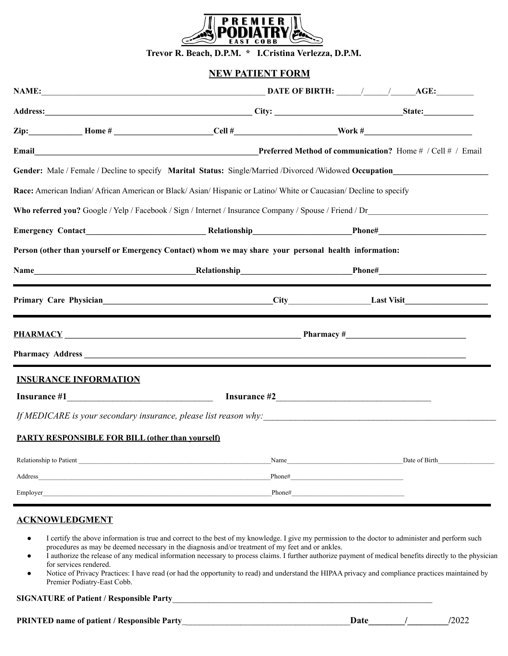

**Trevor R. Beach, D.P.M. \* I.Cristina Verlezza, D.P.M.**

### **NEW PATIENT FORM**

|                                                         |                                                                                                                                                                                                                                | Gender: Male / Female / Decline to specify Marital Status: Single/Married /Divorced /Widowed Occupation                                                                                                                                                                             |
|---------------------------------------------------------|--------------------------------------------------------------------------------------------------------------------------------------------------------------------------------------------------------------------------------|-------------------------------------------------------------------------------------------------------------------------------------------------------------------------------------------------------------------------------------------------------------------------------------|
|                                                         | Race: American Indian/African American or Black/Asian/Hispanic or Latino/White or Caucasian/Decline to specify                                                                                                                 |                                                                                                                                                                                                                                                                                     |
|                                                         |                                                                                                                                                                                                                                |                                                                                                                                                                                                                                                                                     |
|                                                         |                                                                                                                                                                                                                                |                                                                                                                                                                                                                                                                                     |
|                                                         | Person (other than yourself or Emergency Contact) whom we may share your personal health information:                                                                                                                          |                                                                                                                                                                                                                                                                                     |
|                                                         |                                                                                                                                                                                                                                |                                                                                                                                                                                                                                                                                     |
|                                                         |                                                                                                                                                                                                                                | Primary Care Physician Last Visit Last Visit Last Visit Last Visit Last Visit Last Visit Last Visit Last Visit Last Visit Last Visit Last Visit Last Visit Last Visit Last Visit Last Visit Last Visit Last Visit Last Visit L                                                      |
|                                                         |                                                                                                                                                                                                                                | <b>PHARMACY</b> Pharmacy #                                                                                                                                                                                                                                                          |
|                                                         |                                                                                                                                                                                                                                |                                                                                                                                                                                                                                                                                     |
| <b>INSURANCE INFORMATION</b>                            |                                                                                                                                                                                                                                |                                                                                                                                                                                                                                                                                     |
|                                                         |                                                                                                                                                                                                                                |                                                                                                                                                                                                                                                                                     |
|                                                         |                                                                                                                                                                                                                                | If MEDICARE is your secondary insurance, please list reason why:                                                                                                                                                                                                                    |
| <b>PARTY RESPONSIBLE FOR BILL (other than yourself)</b> |                                                                                                                                                                                                                                |                                                                                                                                                                                                                                                                                     |
|                                                         |                                                                                                                                                                                                                                | Relationship to Patient Date of Birth Name Date of Birth                                                                                                                                                                                                                            |
|                                                         |                                                                                                                                                                                                                                |                                                                                                                                                                                                                                                                                     |
|                                                         | Employer and the state of the state of the state of the state of the state of the state of the state of the state of the state of the state of the state of the state of the state of the state of the state of the state of t | $Phone#$ and  and  and  and $\frac{1}{2}$ and $\frac{1}{2}$ and $\frac{1}{2}$ and $\frac{1}{2}$ and $\frac{1}{2}$ and $\frac{1}{2}$ and $\frac{1}{2}$ and $\frac{1}{2}$ and $\frac{1}{2}$ and $\frac{1}{2}$ and $\frac{1}{2}$ and $\frac{1}{2}$ and $\frac{1}{2}$ and $\frac{1}{2}$ |

## **ACKNOWLEDGMENT**

- I certify the above information is true and correct to the best of my knowledge. I give my permission to the doctor to administer and perform such procedures as may be deemed necessary in the diagnosis and/or treatment of my feet and or ankles.
- I authorize the release of any medical information necessary to process claims. I further authorize payment of medical benefits directly to the physician for services rendered.
- Notice of Privacy Practices: I have read (or had the opportunity to read) and understand the HIPAA privacy and compliance practices maintained by Premier Podiatry-East Cobb.

#### **SIGNATURE of Patient / Responsible Party**\_\_\_\_\_\_\_\_\_\_\_\_\_\_\_\_\_\_\_\_\_\_\_\_\_\_\_\_\_\_\_\_\_\_\_\_\_\_\_\_\_\_\_\_\_\_\_\_\_\_\_\_\_\_\_\_\_

**PRINTED name of patient / Responsible Party Date** and **Date** and **Date** and **Party**  $/2022$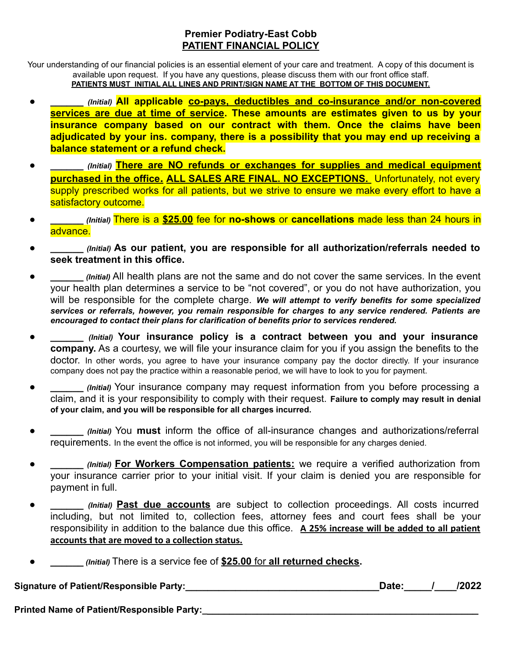# **Premier Podiatry-East Cobb PATIENT FINANCIAL POLICY**

Your understanding of our financial policies is an essential element of your care and treatment. A copy of this document is available upon request. If you have any questions, please discuss them with our front office staff. **PATIENTS MUST INITIAL ALL LINES AND PRINT/SIGN NAME AT THE BOTTOM OF THIS DOCUMENT.**

- **● \_\_\_\_\_\_** *(Initial)* **All applicable co-pays, deductibles and co-insurance and/or non-covered services are due at time of service. These amounts are estimates given to us by your insurance company based on our contract with them. Once the claims have been adjudicated by your ins. company, there is a possibility that you may end up receiving a balance statement or a refund check.**
- **\_\_\_\_\_\_** *(Initial)* **There are NO refunds or exchanges for supplies and medical equipment purchased in the office. ALL SALES ARE FINAL. NO EXCEPTIONS.** Unfortunately, not every supply prescribed works for all patients, but we strive to ensure we make every effort to have a satisfactory outcome.
- **\_\_\_\_\_\_** *(Initial)* There is a **\$25.00** fee for **no-shows** or **cancellations** made less than 24 hours in advance.
- *(Initial)* As our patient, you are responsible for all authorization/referrals needed to **seek treatment in this office.**
- *(Initial)* All health plans are not the same and do not cover the same services. In the event your health plan determines a service to be "not covered", or you do not have authorization, you will be responsible for the complete charge. *We will attempt to verify benefits for some specialized services or referrals, however, you remain responsible for charges to any service rendered. Patients are encouraged to contact their plans for clarification of benefits prior to services rendered.*
- **\_\_\_\_\_\_** *(Initial)* **Your insurance policy is a contract between you and your insurance company.** As a courtesy, we will file your insurance claim for you if you assign the benefits to the doctor. In other words, you agree to have your insurance company pay the doctor directly. If your insurance company does not pay the practice within a reasonable period, we will have to look to you for payment.
- *(Initial)* Your insurance company may request information from you before processing a claim, and it is your responsibility to comply with their request. **Failure to comply may result in denial of your claim, and you will be responsible for all charges incurred.**
- *(Initial)* You **must** inform the office of all-insurance changes and authorizations/referral requirements. In the event the office is not informed, you will be responsible for any charges denied.
- *(Initial)* For Workers Compensation patients: we require a verified authorization from your insurance carrier prior to your initial visit. If your claim is denied you are responsible for payment in full.
- *(Initial)* **Past due accounts** are subject to collection proceedings. All costs incurred including, but not limited to, collection fees, attorney fees and court fees shall be your responsibility in addition to the balance due this office. **A 25% increase will be added to all patient accounts that are moved to a collection status.**
- **\_\_\_\_\_\_** *(Initial)* There is a service fee of **\$25.00** for **all returned checks.**

Signature of Patient/Responsible Party:<br>
and the contract of Patient/Responsible Party:<br>
and the contract of Patient/Responsible Party:

**Printed Name of Patient/Responsible Party:**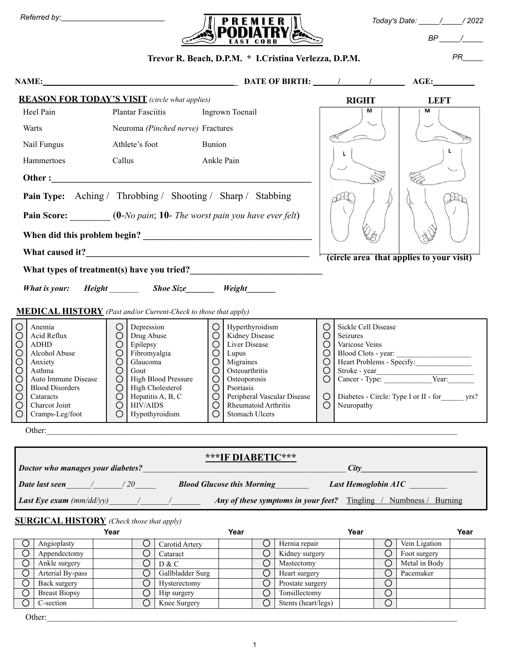| Referred bv: |  |  |
|--------------|--|--|
|              |  |  |



*BP \_\_\_\_\_/\_\_\_\_\_*

#### **Trevor R. Beach, D.P.M. \* I.Cristina Verlezza, D.P.M.** *PR\_\_\_\_\_* **NAME:\_\_\_\_\_\_\_\_\_\_\_\_\_\_\_\_\_\_\_\_\_\_\_\_\_\_\_\_\_\_\_\_\_\_\_\_\_\_\_\_\_\_\_\_\_\_\_ DATE OF BIRTH: \_\_\_\_\_\_/\_\_\_\_\_\_\_/\_\_\_\_\_\_\_\_ AGE:\_\_\_\_\_\_\_\_\_\_ REASON FOR TODAY'S VISIT** *(circle what applies)* **RIGHT LEFT**  $\overline{M}$  $\overline{\mathsf{M}}$ Heel Pain Plantar Fasciitis Ingrown Toenail Warts Neuroma *(Pinched nerve)* Fractures F Nail Fungus Athlete's foot Bunion Ĺ Hammertoes Callus Ankle Pain **Other :\_\_\_\_\_\_\_\_\_\_\_\_\_\_\_\_\_\_\_\_\_\_\_\_\_\_\_\_\_\_\_\_\_\_\_\_\_\_\_\_\_\_\_\_\_\_\_\_\_\_\_\_\_\_\_\_\_ Pain Type:** Aching / Throbbing / Shooting / Sharp / Stabbing **Pain Score:** \_\_\_\_\_\_\_ (**0**-*No pain*; **10**- *The worst pain you have ever felt*) When did this problem begin? **What caused it?\_\_\_\_\_\_\_\_\_\_\_\_\_\_\_\_\_\_\_\_\_\_\_\_\_\_\_\_\_\_\_\_\_\_\_\_\_\_\_\_\_\_\_\_\_\_\_\_\_ (circle area that applies to your visit)**What types of treatment(s) have you tried? *What is your:* Height *Phoe Size Weight* **MEDICAL HISTORY** *(Past and/or Current-Check to those that apply)*  $\bigcirc$ Depression  $\bigcirc$ Sickle Cell Disease ◯ Anemia ◯ Hyperthyroidism  $\bigcirc$ Acid Reflux Seizures ◯ ◯ Drug Abuse ◯ Kidney Disease ◯ ADHD ◯ Epilepsy ◯ ◯ Varicose Veins Liver Disease Blood Clots - year: ◯ Alcohol Abuse ◯ ◯ ◯ Fibromyalgia Lupus Heart Problems - Specify: ◯ Anxiety ◯ Glaucoma ◯ Migraines ◯  $\bigcirc$ ◯ Asthma ◯ Gout Osteoarthritis ◯ Stroke - year\_\_\_\_\_\_\_\_\_\_\_\_\_\_\_\_\_\_\_\_\_\_\_\_\_\_ Auto Immune Disease High Blood Pressure **Osteoporosis** ◯ ◯ ◯ ◯ Cancer - Type: Vear: Blood Disorders High Cholesterol Psoriasis ◯ ◯ ◯ ◯ Cataracts ◯ Hepatitis A, B, C ◯ Peripheral Vascular Disease ◯ Diabetes - Circle: Type I or II - for\_\_\_\_\_\_ yrs? Charcot Joint HIV/AIDS Rheumatoid Arthritis Neuropathy ◯ ◯ ◯ ◯ Cramps-Leg/foot  $\bigcap$ Hypothyroidism  $\bigcap$ Stomach Ulcers ◯ Other: **\*\*\*IF DIABETIC\*\*\*** *Doctor who manages your diabetes? City Date last seen* 1 120 Blood Glucose this Morning Last Hemoglobin A1C *Last Eye exam (mm/dd/yy)\_\_\_\_\_\_\_/\_\_\_\_\_\_\_/\_\_\_\_\_\_\_ Any of these symptoms in your feet?* Tingling / Numbness / Burning **SURGICAL HISTORY** *(Check those that apply)* **Year Year Year Year** ◯ Angioplasty ◯ Carotid Artery ◯ Hernia repair ◯ Vein Ligation ◯ Appendectomy ◯ Cataract ◯ Cataract ◯ Kidney surgery ◯ Foot surgery ◯ Ankle surgery ◯ Ankle surgery ◯ D D & C ◯ Ankle surgery ◯ D & C ◯ Mastectomy ◯ Metal in Body ◯ Arterial By-pass

Other:\_\_\_\_\_\_\_\_\_\_\_\_\_\_\_\_\_\_\_\_\_\_\_\_\_\_\_\_\_\_\_\_\_\_\_\_\_\_\_\_\_\_\_\_\_\_\_\_\_\_\_\_\_\_\_\_\_\_\_\_\_\_\_\_\_\_\_\_\_\_\_\_\_\_\_\_\_\_\_\_\_\_\_\_\_\_\_\_\_\_\_\_\_\_\_\_\_\_\_

◯ Back surgery ◯ Hysterectomy ◯ Prostate surgery ◯ ◯ Breast Biopsy ◯ Hip surgery ◯ Tonsillectomy ◯ ◯ C-section ◯ Knee Surgery ◯ Stents (heart/legs) ◯